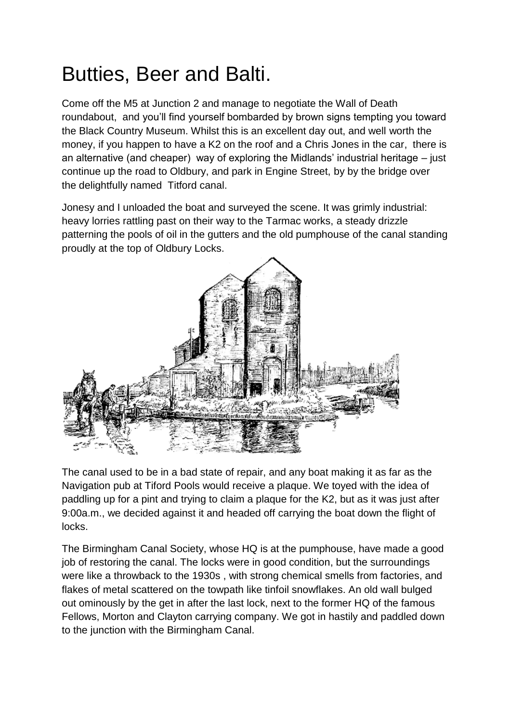## Butties, Beer and Balti.

Come off the M5 at Junction 2 and manage to negotiate the Wall of Death roundabout, and you'll find yourself bombarded by brown signs tempting you toward the Black Country Museum. Whilst this is an excellent day out, and well worth the money, if you happen to have a K2 on the roof and a Chris Jones in the car, there is an alternative (and cheaper) way of exploring the Midlands' industrial heritage – just continue up the road to Oldbury, and park in Engine Street, by by the bridge over the delightfully named Titford canal.

Jonesy and I unloaded the boat and surveyed the scene. It was grimly industrial: heavy lorries rattling past on their way to the Tarmac works, a steady drizzle patterning the pools of oil in the gutters and the old pumphouse of the canal standing proudly at the top of Oldbury Locks.



The canal used to be in a bad state of repair, and any boat making it as far as the Navigation pub at Tiford Pools would receive a plaque. We toyed with the idea of paddling up for a pint and trying to claim a plaque for the K2, but as it was just after 9:00a.m., we decided against it and headed off carrying the boat down the flight of locks.

The Birmingham Canal Society, whose HQ is at the pumphouse, have made a good job of restoring the canal. The locks were in good condition, but the surroundings were like a throwback to the 1930s , with strong chemical smells from factories, and flakes of metal scattered on the towpath like tinfoil snowflakes. An old wall bulged out ominously by the get in after the last lock, next to the former HQ of the famous Fellows, Morton and Clayton carrying company. We got in hastily and paddled down to the junction with the Birmingham Canal.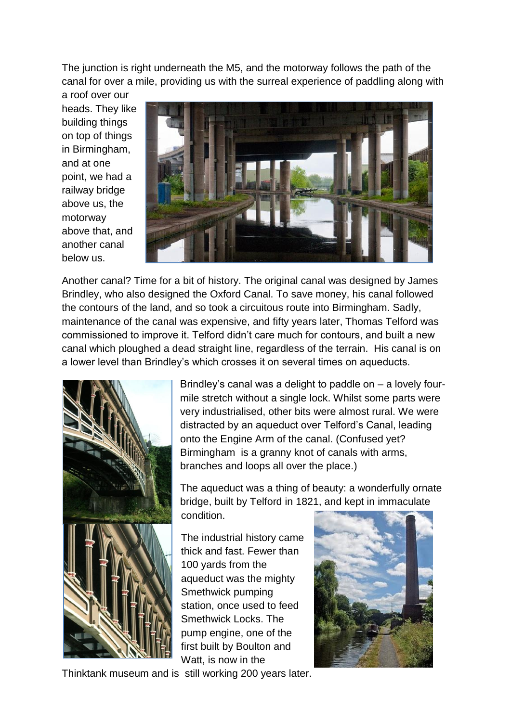The junction is right underneath the M5, and the motorway follows the path of the canal for over a mile, providing us with the surreal experience of paddling along with

a roof over our heads. They like building things on top of things in Birmingham, and at one point, we had a railway bridge above us, the motorway above that, and another canal below us.



Another canal? Time for a bit of history. The original canal was designed by James Brindley, who also designed the Oxford Canal. To save money, his canal followed the contours of the land, and so took a circuitous route into Birmingham. Sadly, maintenance of the canal was expensive, and fifty years later, Thomas Telford was commissioned to improve it. Telford didn't care much for contours, and built a new canal which ploughed a dead straight line, regardless of the terrain. His canal is on a lower level than Brindley's which crosses it on several times on aqueducts.



Brindley's canal was a delight to paddle on – a lovely fourmile stretch without a single lock. Whilst some parts were very industrialised, other bits were almost rural. We were distracted by an aqueduct over Telford's Canal, leading onto the Engine Arm of the canal. (Confused yet? Birmingham is a granny knot of canals with arms, branches and loops all over the place.)

The aqueduct was a thing of beauty: a wonderfully ornate bridge, built by Telford in 1821, and kept in immaculate condition.

The industrial history came thick and fast. Fewer than 100 yards from the aqueduct was the mighty Smethwick pumping station, once used to feed Smethwick Locks. The pump engine, one of the first built by Boulton and Watt, is now in the



Thinktank museum and is still working 200 years later.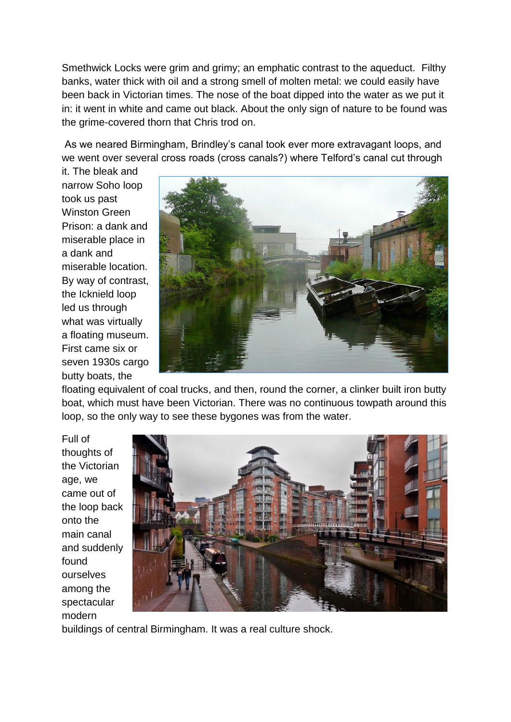Smethwick Locks were grim and grimy; an emphatic contrast to the aqueduct. Filthy banks, water thick with oil and a strong smell of molten metal: we could easily have been back in Victorian times. The nose of the boat dipped into the water as we put it in: it went in white and came out black. About the only sign of nature to be found was the grime-covered thorn that Chris trod on.

As we neared Birmingham, Brindley's canal took ever more extravagant loops, and we went over several cross roads (cross canals?) where Telford's canal cut through

it. The bleak and narrow Soho loop took us past Winston Green Prison: a dank and miserable place in a dank and miserable location. By way of contrast, the Icknield loop led us through what was virtually a floating museum. First came six or seven 1930s cargo butty boats, the



floating equivalent of coal trucks, and then, round the corner, a clinker built iron butty boat, which must have been Victorian. There was no continuous towpath around this loop, so the only way to see these bygones was from the water.

Full of thoughts of the Victorian age, we came out of the loop back onto the main canal and suddenly found ourselves among the spectacular modern



buildings of central Birmingham. It was a real culture shock.